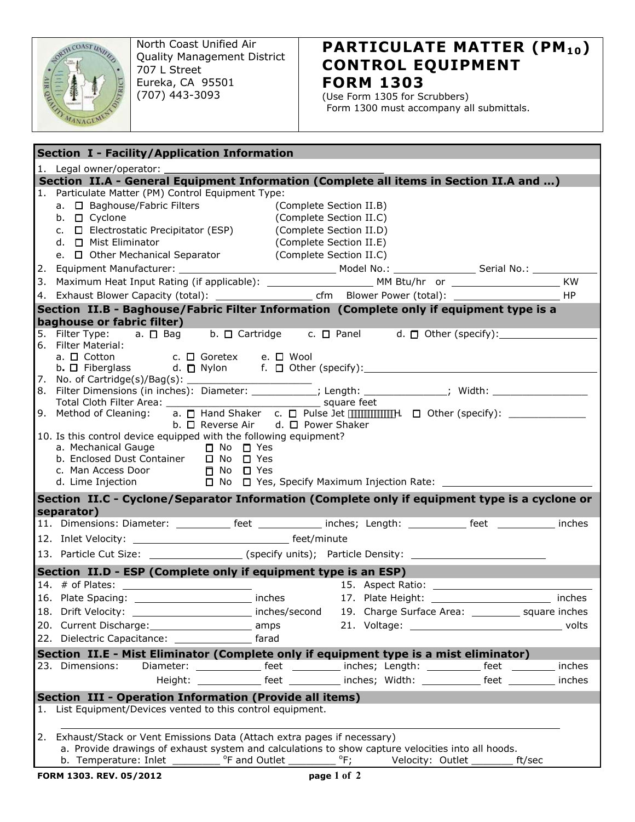

North Coast Unified Air Quality Management District 707 L Street Eureka, CA 95501 (707) 443-3093

## **PARTICULATE MATTER (PM10) CONTROL EQUIPMENT FORM 1303**

(Use Form 1305 for Scrubbers) Form 1300 must accompany all submittals.

| Section I - Facility/Application Information                                                                                                                  |  |  |  |
|---------------------------------------------------------------------------------------------------------------------------------------------------------------|--|--|--|
| 1. Legal owner/operator: ___________                                                                                                                          |  |  |  |
| Section II.A - General Equipment Information (Complete all items in Section II.A and )                                                                        |  |  |  |
| 1. Particulate Matter (PM) Control Equipment Type:                                                                                                            |  |  |  |
| a. □ Baghouse/Fabric Filters<br>(Complete Section II.B)                                                                                                       |  |  |  |
| b. □ Cyclone<br>(Complete Section II.C)                                                                                                                       |  |  |  |
| c. □ Electrostatic Precipitator (ESP)<br>(Complete Section II.D)                                                                                              |  |  |  |
| d. □ Mist Eliminator<br>(Complete Section II.E)                                                                                                               |  |  |  |
| e. □ Other Mechanical Separator<br>(Complete Section II.C)                                                                                                    |  |  |  |
|                                                                                                                                                               |  |  |  |
| 3. Maximum Heat Input Rating (if applicable): ___________________________________ MM Btu/hr or _____________________________ KW                               |  |  |  |
|                                                                                                                                                               |  |  |  |
| Section II.B - Baghouse/Fabric Filter Information (Complete only if equipment type is a                                                                       |  |  |  |
| baghouse or fabric filter)                                                                                                                                    |  |  |  |
| 5. Filter Type: a. □ Bag b. □ Cartridge c. □ Panel d. □ Other (specify):                                                                                      |  |  |  |
| 6. Filter Material:                                                                                                                                           |  |  |  |
| c. □ Goretex e. □ Wool<br>a. $\square$ Cotton                                                                                                                 |  |  |  |
| b. □ Fiberglass d. □ Nylon f. □ Other (specify): _______________________________                                                                              |  |  |  |
|                                                                                                                                                               |  |  |  |
|                                                                                                                                                               |  |  |  |
|                                                                                                                                                               |  |  |  |
| 9. Method of Cleaning:<br>b. $\Box$ Reverse Air d. $\Box$ Power Shaker                                                                                        |  |  |  |
| 10. Is this control device equipped with the following equipment?                                                                                             |  |  |  |
| a. Mechanical Gauge<br>$\Box$ No $\Box$ Yes                                                                                                                   |  |  |  |
| b. Enclosed Dust Container □ No □ Yes                                                                                                                         |  |  |  |
|                                                                                                                                                               |  |  |  |
| c. Man Access Door $\Box$ No $\Box$ Yes d. Lime Injection $\Box$ No $\Box$ Yes.<br>d. Lime Injection<br>□ No □ Yes, Specify Maximum Injection Rate: _________ |  |  |  |
| Section II.C - Cyclone/Separator Information (Complete only if equipment type is a cyclone or                                                                 |  |  |  |
| separator)                                                                                                                                                    |  |  |  |
| 11. Dimensions: Diameter: ____________ feet _____________ inches; Length: ___________ feet ___________ inches                                                 |  |  |  |
|                                                                                                                                                               |  |  |  |
| 13. Particle Cut Size: __________________(specify units); Particle Density: ________________________                                                          |  |  |  |
|                                                                                                                                                               |  |  |  |
| Section II.D - ESP (Complete only if equipment type is an ESP)                                                                                                |  |  |  |
| 14. $#$ of Plates:<br><u> Louis Communication (Communication)</u>                                                                                             |  |  |  |
| 16. Plate Spacing: __________________________ inches<br>17. Plate Height: inches                                                                              |  |  |  |
| 18. Drift Velocity: _________________________ inches/second 19. Charge Surface Area: _________ square inches                                                  |  |  |  |
| 20. Current Discharge: 1997 amps                                                                                                                              |  |  |  |
|                                                                                                                                                               |  |  |  |
| Section II.E - Mist Eliminator (Complete only if equipment type is a mist eliminator)                                                                         |  |  |  |
| Diameter: _________________ feet _____________ inches; Length: _____________ feet ___________ inches<br>23. Dimensions:                                       |  |  |  |
|                                                                                                                                                               |  |  |  |
| Height: _____________ feet ____________ inches; Width: _____________ feet __________ inches                                                                   |  |  |  |
| <b>Section III - Operation Information (Provide all items)</b>                                                                                                |  |  |  |
| 1. List Equipment/Devices vented to this control equipment.                                                                                                   |  |  |  |
|                                                                                                                                                               |  |  |  |
| 2. Exhaust/Stack or Vent Emissions Data (Attach extra pages if necessary)                                                                                     |  |  |  |
| a. Provide drawings of exhaust system and calculations to show capture velocities into all hoods.                                                             |  |  |  |
| b. Temperature: Inlet $\frac{1}{2}$ <sup>o</sup> F and Outlet ___________ <sup>o</sup> F;<br>Velocity: Outlet ________ ft/sec                                 |  |  |  |